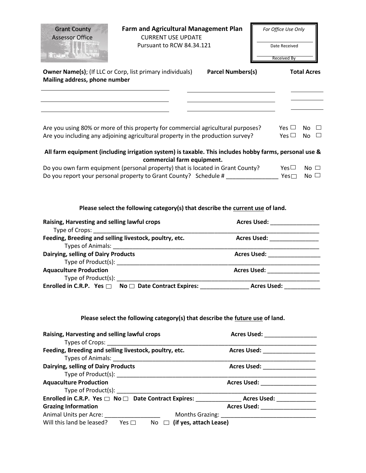| <b>Grant County</b><br><b>Assessor Office</b><br><b>There</b> n                                      | <b>Farm and Agricultural Management Plan</b><br><b>CURRENT USE UPDATE</b><br>Pursuant to RCW 84.34.121                                                                                                                                                                                     |                          | For Office Use Only<br>Date Received<br><b>Received By</b> |
|------------------------------------------------------------------------------------------------------|--------------------------------------------------------------------------------------------------------------------------------------------------------------------------------------------------------------------------------------------------------------------------------------------|--------------------------|------------------------------------------------------------|
| Mailing address, phone number                                                                        | <b>Owner Name(s);</b> (If LLC or Corp, list primary individuals)                                                                                                                                                                                                                           | <b>Parcel Numbers(s)</b> | <b>Total Acres</b>                                         |
|                                                                                                      | Are you using 80% or more of this property for commercial agricultural purposes?<br>Are you including any adjoining agricultural property in the production survey?                                                                                                                        |                          | Yes $\Box$<br>No $\square$<br>Yes $\Box$<br>No $\square$   |
|                                                                                                      | All farm equipment (including irrigation system) is taxable. This includes hobby farms, personal use &<br>commercial farm equipment.<br>Do you own farm equipment (personal property) that is located in Grant County?<br>Do you report your personal property to Grant County? Schedule # |                          | Yes $\square$<br>No $\square$<br>Yes<br>No $\Box$          |
|                                                                                                      |                                                                                                                                                                                                                                                                                            |                          |                                                            |
| Raising, Harvesting and selling lawful crops                                                         | Please select the following category(s) that describe the current use of land.                                                                                                                                                                                                             |                          | Acres Used: New York 1989                                  |
| Type of Crops: National Contract of Crops:<br>Feeding, Breeding and selling livestock, poultry, etc. |                                                                                                                                                                                                                                                                                            |                          | Acres Used: _______________                                |
| Dairying, selling of Dairy Products                                                                  | Types of Animals: National Property of Animals:                                                                                                                                                                                                                                            |                          | Acres Used: __________________                             |
| <b>Aquaculture Production</b>                                                                        |                                                                                                                                                                                                                                                                                            |                          | Acres Used: _________________                              |
|                                                                                                      | Type of Product(s): Type of Product(s):<br>Enrolled in C.R.P. Yes $\Box$ No $\Box$ Date Contract Expires: ___________                                                                                                                                                                      |                          | Acres Used:                                                |
|                                                                                                      | Please select the following category(s) that describe the future use of land.                                                                                                                                                                                                              |                          |                                                            |
| Raising, Harvesting and selling lawful crops                                                         |                                                                                                                                                                                                                                                                                            |                          | Acres Used: __________________                             |
| Feeding, Breeding and selling livestock, poultry, etc.                                               |                                                                                                                                                                                                                                                                                            |                          | Acres Used: __________________                             |

Type of Product(s): \_\_\_\_\_\_\_\_\_\_\_\_\_\_\_\_\_\_\_\_\_\_\_\_\_\_\_\_\_\_\_\_\_\_\_\_\_\_\_\_\_\_\_\_\_\_\_\_\_\_\_\_\_\_\_\_\_\_\_\_\_ **Acres Used: \_\_\_\_\_\_\_\_\_\_\_\_\_\_\_\_\_** Type of Product(s): \_\_\_\_\_\_\_\_\_\_\_\_\_\_\_\_\_\_\_\_\_\_\_\_\_\_\_\_\_\_\_\_\_\_\_\_\_\_\_\_\_\_\_\_\_\_\_\_\_\_\_\_\_\_\_\_\_\_\_\_\_ Enrolled in C.R.P. Yes  $\square$  No  $\square$  Date Contract Expires: \_\_\_\_\_\_\_\_\_\_\_\_\_\_\_\_\_\_\_\_\_ Acres Used: \_\_\_\_\_\_\_\_\_\_\_\_\_\_\_\_\_

| <b>Grazing Information</b> |            | <b>Acres Used:</b>               |
|----------------------------|------------|----------------------------------|
| Animal Units per Acre:     |            | <b>Months Grazing:</b>           |
| Will this land be leased?  | Yes $\Box$ | No $\Box$ (if yes, attach Lease) |